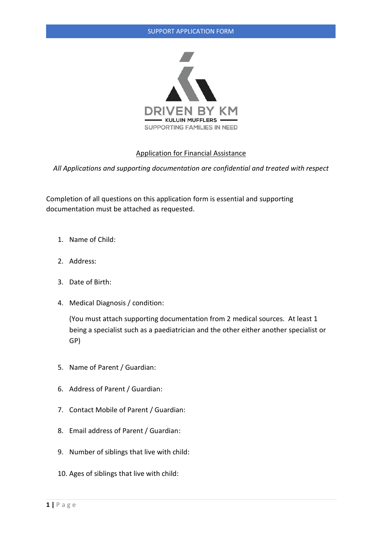

## Application for Financial Assistance

*All Applications and supporting documentation are confidential and treated with respect*

Completion of all questions on this application form is essential and supporting documentation must be attached as requested.

- 1. Name of Child:
- 2. Address:
- 3. Date of Birth:
- 4. Medical Diagnosis / condition:

(You must attach supporting documentation from 2 medical sources. At least 1 being a specialist such as a paediatrician and the other either another specialist or GP)

- 5. Name of Parent / Guardian:
- 6. Address of Parent / Guardian:
- 7. Contact Mobile of Parent / Guardian:
- 8. Email address of Parent / Guardian:
- 9. Number of siblings that live with child:
- 10. Ages of siblings that live with child: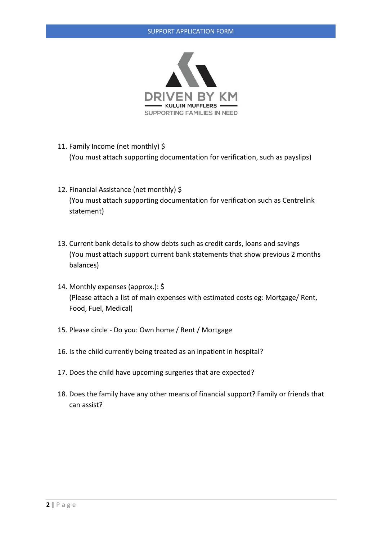

- 11. Family Income (net monthly) \$ (You must attach supporting documentation for verification, such as payslips)
- 12. Financial Assistance (net monthly) \$ (You must attach supporting documentation for verification such as Centrelink statement)
- 13. Current bank details to show debts such as credit cards, loans and savings (You must attach support current bank statements that show previous 2 months balances)
- 14. Monthly expenses (approx.): \$ (Please attach a list of main expenses with estimated costs eg: Mortgage/ Rent, Food, Fuel, Medical)
- 15. Please circle Do you: Own home / Rent / Mortgage
- 16. Is the child currently being treated as an inpatient in hospital?
- 17. Does the child have upcoming surgeries that are expected?
- 18. Does the family have any other means of financial support? Family or friends that can assist?